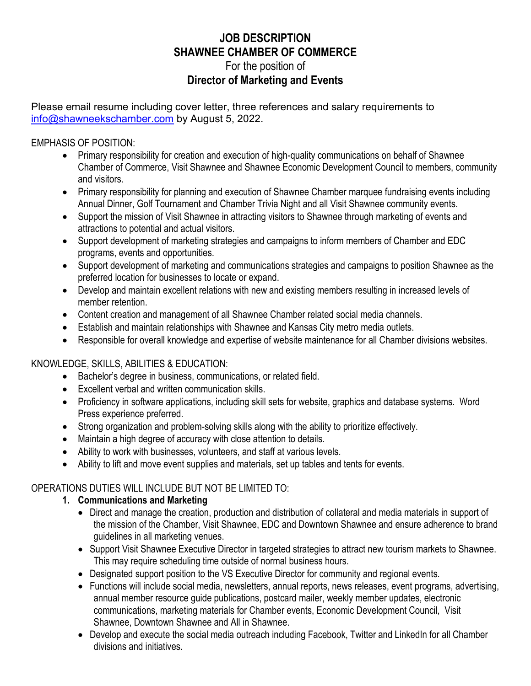# **JOB DESCRIPTION SHAWNEE CHAMBER OF COMMERCE** For the position of **Director of Marketing and Events**

Please email resume including cover letter, three references and salary requirements to [info@shawneekschamber.com](mailto:info@shawneekschamber.com) by August 5, 2022.

#### EMPHASIS OF POSITION:

- Primary responsibility for creation and execution of high-quality communications on behalf of Shawnee Chamber of Commerce, Visit Shawnee and Shawnee Economic Development Council to members, community and visitors.
- Primary responsibility for planning and execution of Shawnee Chamber marquee fundraising events including Annual Dinner, Golf Tournament and Chamber Trivia Night and all Visit Shawnee community events.
- Support the mission of Visit Shawnee in attracting visitors to Shawnee through marketing of events and attractions to potential and actual visitors.
- Support development of marketing strategies and campaigns to inform members of Chamber and EDC programs, events and opportunities.
- Support development of marketing and communications strategies and campaigns to position Shawnee as the preferred location for businesses to locate or expand.
- Develop and maintain excellent relations with new and existing members resulting in increased levels of member retention.
- Content creation and management of all Shawnee Chamber related social media channels.
- Establish and maintain relationships with Shawnee and Kansas City metro media outlets.
- Responsible for overall knowledge and expertise of website maintenance for all Chamber divisions websites.

### KNOWLEDGE, SKILLS, ABILITIES & EDUCATION:

- Bachelor's degree in business, communications, or related field.
- Excellent verbal and written communication skills.
- Proficiency in software applications, including skill sets for website, graphics and database systems. Word Press experience preferred.
- Strong organization and problem-solving skills along with the ability to prioritize effectively.
- Maintain a high degree of accuracy with close attention to details.
- Ability to work with businesses, volunteers, and staff at various levels.
- Ability to lift and move event supplies and materials, set up tables and tents for events.

## OPERATIONS DUTIES WILL INCLUDE BUT NOT BE LIMITED TO:

### **1. Communications and Marketing**

- Direct and manage the creation, production and distribution of collateral and media materials in support of the mission of the Chamber, Visit Shawnee, EDC and Downtown Shawnee and ensure adherence to brand guidelines in all marketing venues.
- Support Visit Shawnee Executive Director in targeted strategies to attract new tourism markets to Shawnee. This may require scheduling time outside of normal business hours.
- Designated support position to the VS Executive Director for community and regional events.
- Functions will include social media, newsletters, annual reports, news releases, event programs, advertising, annual member resource guide publications, postcard mailer, weekly member updates, electronic communications, marketing materials for Chamber events, Economic Development Council, Visit Shawnee, Downtown Shawnee and All in Shawnee.
- Develop and execute the social media outreach including Facebook, Twitter and LinkedIn for all Chamber divisions and initiatives.